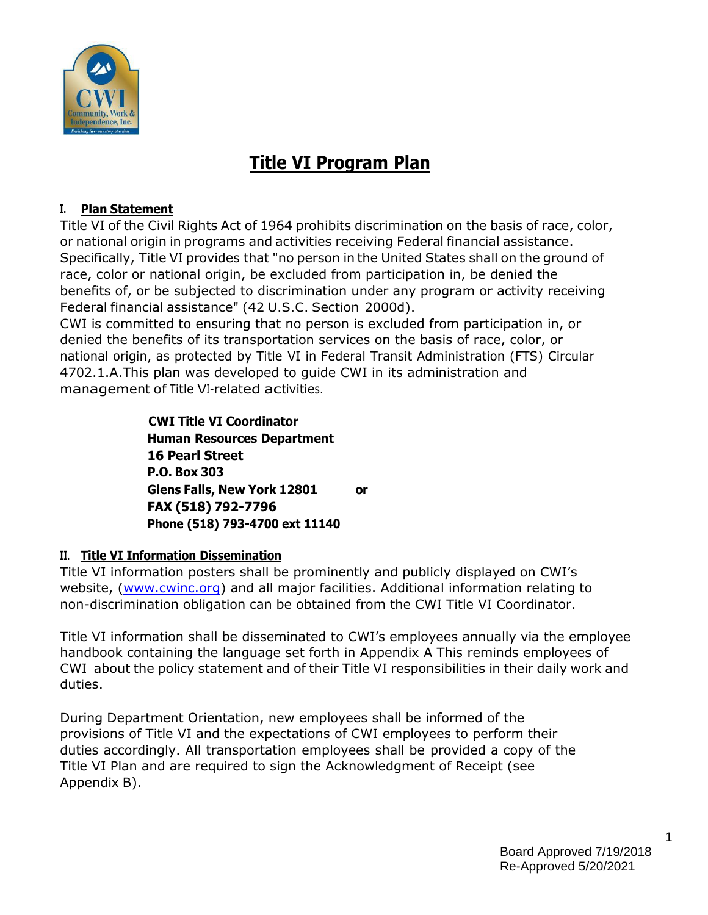

# **Title VI Program Plan**

## **I. Plan Statement**

Title VI of the Civil Rights Act of 1964 prohibits discrimination on the basis of race, color, or national origin in programs and activities receiving Federal financial assistance. Specifically, Title VI provides that "no person in the United States shall on the ground of race, color or national origin, be excluded from participation in, be denied the benefits of, or be subjected to discrimination under any program or activity receiving Federal financial assistance" (42 U.S.C. Section 2000d).

CWI is committed to ensuring that no person is excluded from participation in, or denied the benefits of its transportation services on the basis of race, color, or national origin, as protected by Title VI in Federal Transit Administration (FTS) Circular 4702.1.A.This plan was developed to guide CWI in its administration and management of Title VI-related activities.

> **CWI Title VI Coordinator Human Resources Department 16 Pearl Street P.O. Box 303 Glens Falls, New York 12801 or FAX (518) 792-7796 Phone (518) 793-4700 ext 11140**

## **II. Title VI Information Dissemination**

Title VI information posters shall be prominently and publicly displayed on CWI's website, [\(www.cwinc.org\)](http://www.cwinc.org/) and all major facilities. Additional information relating to non-discrimination obligation can be obtained from the CWI Title VI Coordinator.

Title VI information shall be disseminated to CWI's employees annually via the employee handbook containing the language set forth in Appendix A This reminds employees of CWI about the policy statement and of their Title VI responsibilities in their daily work and duties.

During Department Orientation, new employees shall be informed of the provisions of Title VI and the expectations of CWI employees to perform their duties accordingly. All transportation employees shall be provided a copy of the Title VI Plan and are required to sign the Acknowledgment of Receipt (see Appendix B).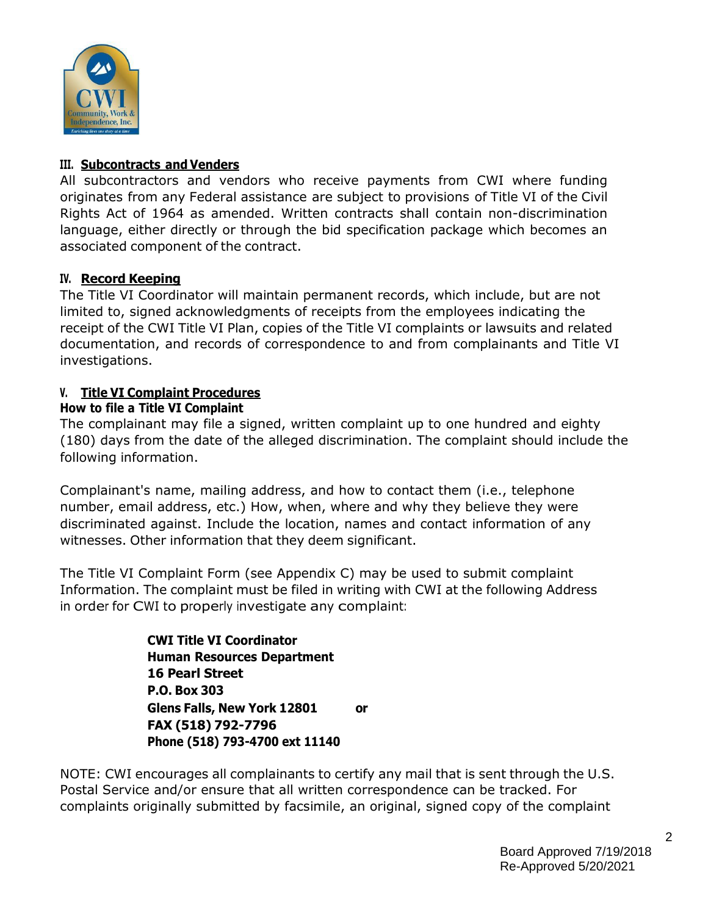

#### **III. Subcontracts and Venders**

All subcontractors and vendors who receive payments from CWI where funding originates from any Federal assistance are subject to provisions of Title VI of the Civil Rights Act of 1964 as amended. Written contracts shall contain non-discrimination language, either directly or through the bid specification package which becomes an associated component of the contract.

## **IV. Record Keeping**

The Title VI Coordinator will maintain permanent records, which include, but are not limited to, signed acknowledgments of receipts from the employees indicating the receipt of the CWI Title VI Plan, copies of the Title VI complaints or lawsuits and related documentation, and records of correspondence to and from complainants and Title VI investigations.

## **V. Title VI Complaint Procedures**

#### **How to file a Title VI Complaint**

The complainant may file a signed, written complaint up to one hundred and eighty (180) days from the date of the alleged discrimination. The complaint should include the following information.

Complainant's name, mailing address, and how to contact them (i.e., telephone number, email address, etc.) How, when, where and why they believe they were discriminated against. Include the location, names and contact information of any witnesses. Other information that they deem significant.

The Title VI Complaint Form (see Appendix C) may be used to submit complaint Information. The complaint must be filed in writing with CWI at the following Address in order for CWI to properly investigate any complaint:

> **CWI Title VI Coordinator Human Resources Department 16 Pearl Street P.O. Box 303 Glens Falls, New York 12801 or FAX (518) 792-7796 Phone (518) 793-4700 ext 11140**

NOTE: CWI encourages all complainants to certify any mail that is sent through the U.S. Postal Service and/or ensure that all written correspondence can be tracked. For complaints originally submitted by facsimile, an original, signed copy of the complaint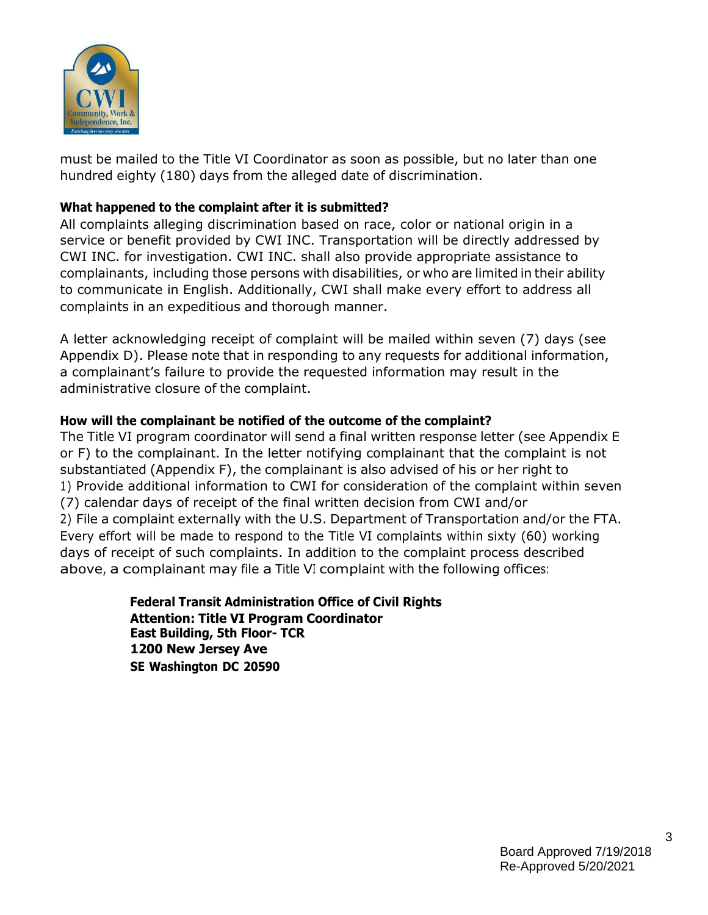

must be mailed to the Title VI Coordinator as soon as possible, but no later than one hundred eighty (180) days from the alleged date of discrimination.

#### **What happened to the complaint after it is submitted?**

All complaints alleging discrimination based on race, color or national origin in a service or benefit provided by CWI INC. Transportation will be directly addressed by CWI INC. for investigation. CWI INC. shall also provide appropriate assistance to complainants, including those persons with disabilities, or who are limited in their ability to communicate in English. Additionally, CWI shall make every effort to address all complaints in an expeditious and thorough manner.

A letter acknowledging receipt of complaint will be mailed within seven (7) days (see Appendix D). Please note that in responding to any requests for additional information, a complainant's failure to provide the requested information may result in the administrative closure of the complaint.

#### **How will the complainant be notified of the outcome of the complaint?**

The Title VI program coordinator will send a final written response letter (see Appendix E or F) to the complainant. In the letter notifying complainant that the complaint is not substantiated (Appendix F), the complainant is also advised of his or her right to 1) Provide additional information to CWI for consideration of the complaint within seven (7) calendar days of receipt of the final written decision from CWI and/or 2) File a complaint externally with the U.S. Department of Transportation and/or the FTA. Every effort will be made to respond to the Title VI complaints within sixty (60) working days of receipt of such complaints. In addition to the complaint process described above, a complainant may file a Title VI complaint with the following offices:

> **Federal Transit Administration Office of Civil Rights Attention: Title VI Program Coordinator East Building, 5th Floor- TCR 1200 New Jersey Ave SE Washington DC 20590**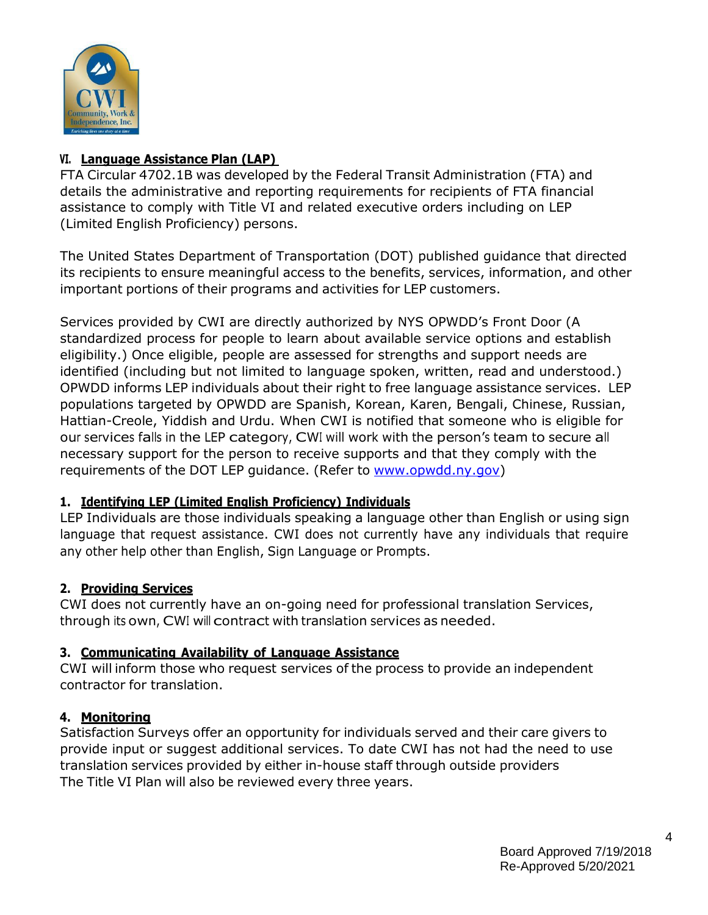

## **VI. Language Assistance Plan (LAP)**

FTA Circular 4702.1B was developed by the Federal Transit Administration (FTA) and details the administrative and reporting requirements for recipients of FTA financial assistance to comply with Title VI and related executive orders including on LEP (Limited English Proficiency) persons.

The United States Department of Transportation (DOT) published guidance that directed its recipients to ensure meaningful access to the benefits, services, information, and other important portions of their programs and activities for LEP customers.

Services provided by CWI are directly authorized by NYS OPWDD's Front Door (A standardized process for people to learn about available service options and establish eligibility.) Once eligible, people are assessed for strengths and support needs are identified (including but not limited to language spoken, written, read and understood.) OPWDD informs LEP individuals about their right to free language assistance services. LEP populations targeted by OPWDD are Spanish, Korean, Karen, Bengali, Chinese, Russian, Hattian-Creole, Yiddish and Urdu. When CWI is notified that someone who is eligible for our services falls in the LEP category, CWI will work with the person'<sup>s</sup> team to secure all necessary support for the person to receive supports and that they comply with the requirements of the DOT LEP guidance. (Refer to [www.opwdd.ny.gov\)](http://www.opwdd.ny.gov/)

## **1. Identifying LEP (Limited English Proficiency) Individuals**

LEP Individuals are those individuals speaking a language other than English or using sign language that request assistance. CWI does not currently have any individuals that require any other help other than English, Sign Language or Prompts.

# **2. Providing Services**

CWI does not currently have an on-going need for professional translation Services, through its own, CWI will contract with translation services as needed.

# **3. Communicating Availability of Language Assistance**

CWI will inform those who request services of the process to provide an independent contractor for translation.

# **4. Monitoring**

Satisfaction Surveys offer an opportunity for individuals served and their care givers to provide input or suggest additional services. To date CWI has not had the need to use translation services provided by either in-house staff through outside providers The Title VI Plan will also be reviewed every three years.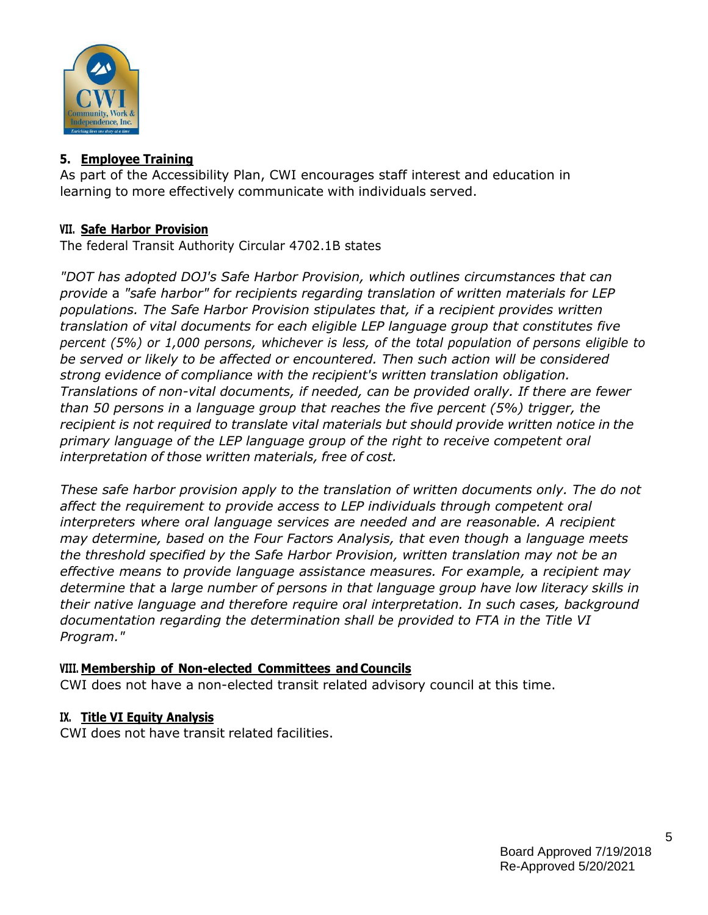

#### **5. Employee Training**

As part of the Accessibility Plan, CWI encourages staff interest and education in learning to more effectively communicate with individuals served.

#### **VII. Safe Harbor Provision**

The federal Transit Authority Circular 4702.1B states

*"DOT has adopted DOJ's Safe Harbor Provision, which outlines circumstances that can provide* a *"safe harbor" for recipients regarding translation of written materials for LEP populations. The Safe Harbor Provision stipulates that, if* a *recipient provides written translation of vital documents for each eligible LEP language group that constitutes five percent (5%) or 1,000 persons, whichever is less, of the total population of persons eligible to be served or likely to be affected or encountered. Then such action will be considered strong evidence of compliance with the recipient's written translation obligation. Translations of non-vital documents, if needed, can be provided orally. If there are fewer than 50 persons in* a *language group that reaches the five percent (5%) trigger, the recipient is not required to translate vital materials but should provide written notice in the primary language of the LEP language group of the right to receive competent oral interpretation of those written materials, free of cost.*

*These safe harbor provision apply to the translation of written documents only. The do not affect the requirement to provide access to LEP individuals through competent oral interpreters where oral language services are needed and are reasonable. A recipient may determine, based on the Four Factors Analysis, that even though* a *language meets the threshold specified by the Safe Harbor Provision, written translation may not be an effective means to provide language assistance measures. For example,* a *recipient may determine that* a *large number of persons in that language group have low literacy skills in their native language and therefore require oral interpretation. In such cases, background documentation regarding the determination shall be provided to FTA in the Title VI Program."*

#### **VIII. Membership of Non-elected Committees and Councils**

CWI does not have a non-elected transit related advisory council at this time.

#### **IX. Title VI Equity Analysis**

CWI does not have transit related facilities.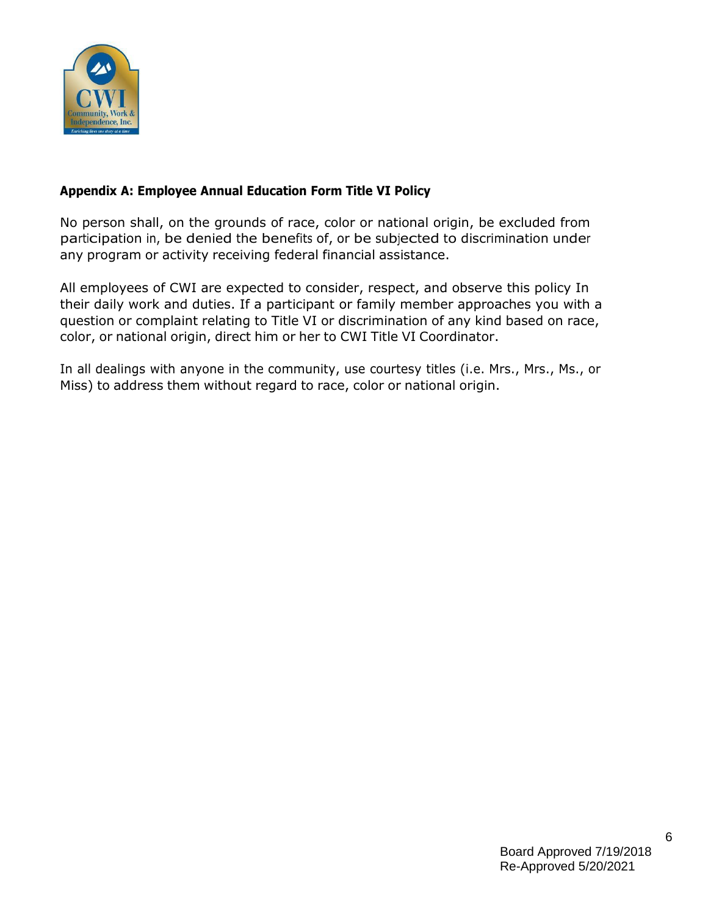

## **Appendix A: Employee Annual Education Form Title VI Policy**

No person shall, on the grounds of race, color or national origin, be excluded from participation in, be denied the benefits of, or be subjected to discrimination under any program or activity receiving federal financial assistance.

All employees of CWI are expected to consider, respect, and observe this policy In their daily work and duties. If a participant or family member approaches you with a question or complaint relating to Title VI or discrimination of any kind based on race, color, or national origin, direct him or her to CWI Title VI Coordinator.

In all dealings with anyone in the community, use courtesy titles (i.e. Mrs., Mrs., Ms., or Miss) to address them without regard to race, color or national origin.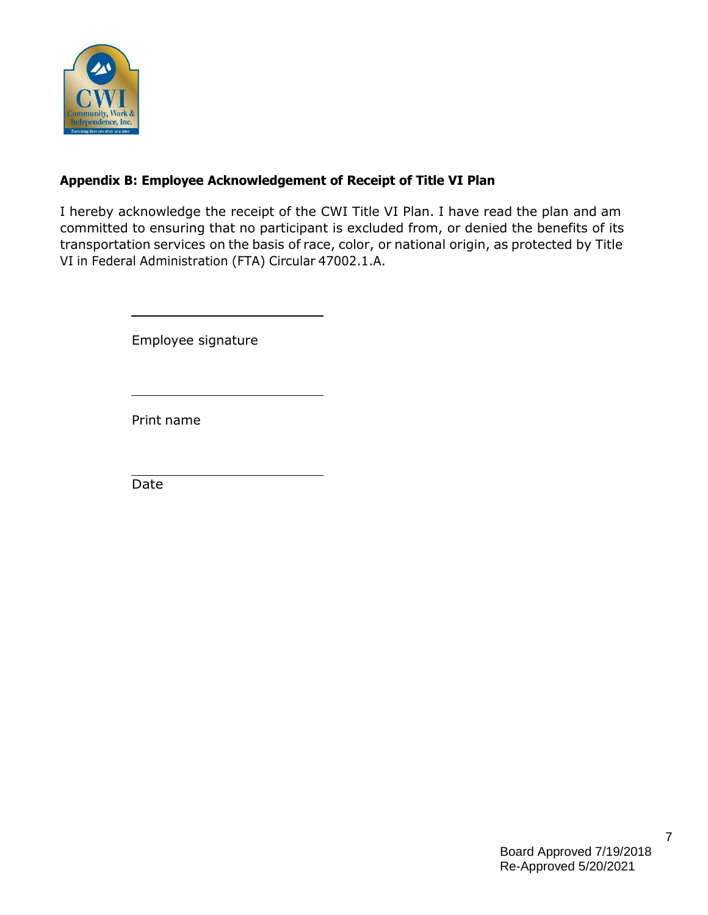

# **Appendix B: Employee Acknowledgement of Receipt of Title VI Plan**

I hereby acknowledge the receipt of the CWI Title VI Plan. I have read the plan and am committed to ensuring that no participant is excluded from, or denied the benefits of its transportation services on the basis of race, color, or national origin, as protected by Title VI in Federal Administration (FTA) Circular 47002.1.A.

Employee signature

Print name

Date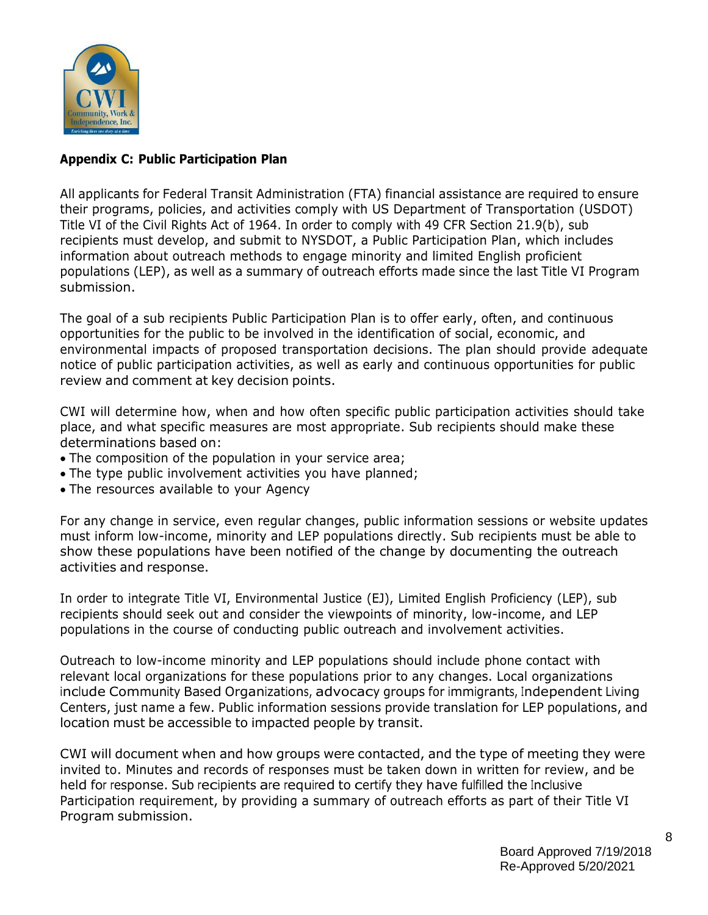

## **Appendix C: Public Participation Plan**

All applicants for Federal Transit Administration (FTA) financial assistance are required to ensure their programs, policies, and activities comply with US Department of Transportation (USDOT) Title VI of the Civil Rights Act of 1964. In order to comply with 49 CFR Section 21.9(b), sub recipients must develop, and submit to NYSDOT, a Public Participation Plan, which includes information about outreach methods to engage minority and limited English proficient populations (LEP), as well as a summary of outreach efforts made since the last Title VI Program submission.

The goal of a sub recipients Public Participation Plan is to offer early, often, and continuous opportunities for the public to be involved in the identification of social, economic, and environmental impacts of proposed transportation decisions. The plan should provide adequate notice of public participation activities, as well as early and continuous opportunities for public review and comment at key decision points.

CWI will determine how, when and how often specific public participation activities should take place, and what specific measures are most appropriate. Sub recipients should make these determinations based on:

- The composition of the population in your service area;
- The type public involvement activities you have planned;
- The resources available to your Agency

For any change in service, even regular changes, public information sessions or website updates must inform low-income, minority and LEP populations directly. Sub recipients must be able to show these populations have been notified of the change by documenting the outreach activities and response.

In order to integrate Title VI, Environmental Justice (EJ), Limited English Proficiency (LEP), sub recipients should seek out and consider the viewpoints of minority, low-income, and LEP populations in the course of conducting public outreach and involvement activities.

Outreach to low-income minority and LEP populations should include phone contact with relevant local organizations for these populations prior to any changes. Local organizations include Community Based Organizations, advocacy groups for immigrants, Independent Living Centers, just name a few. Public information sessions provide translation for LEP populations, and location must be accessible to impacted people by transit.

CWI will document when and how groups were contacted, and the type of meeting they were invited to. Minutes and records of responses must be taken down in written for review, and be held for response. Sub recipients are required to certify they have fulfilled the Inclusive Participation requirement, by providing a summary of outreach efforts as part of their Title VI Program submission.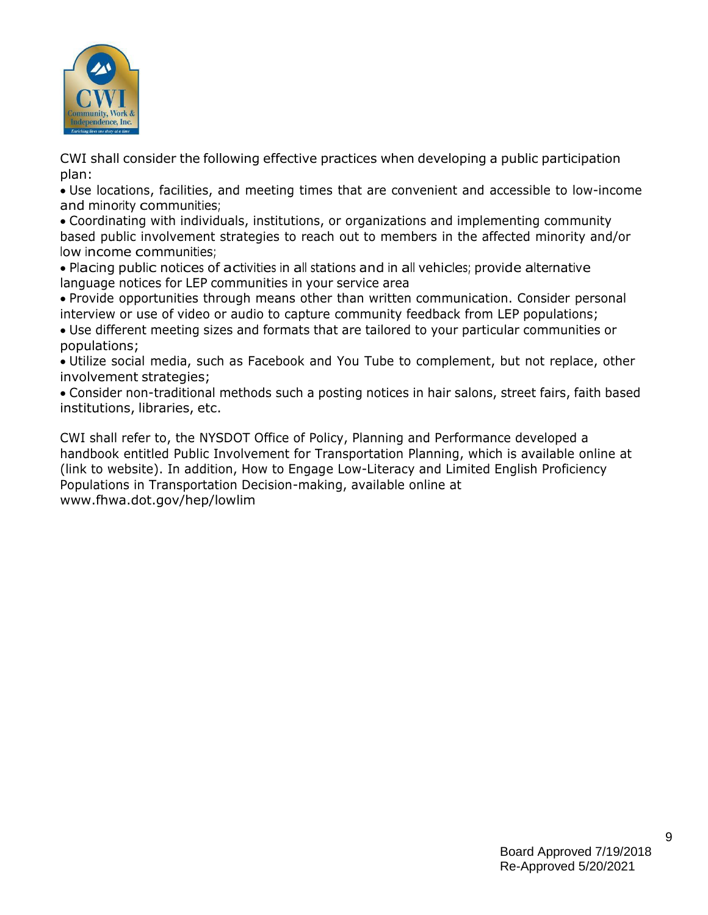

CWI shall consider the following effective practices when developing a public participation plan:

 Use locations, facilities, and meeting times that are convenient and accessible to low-income and minority communities;

 Coordinating with individuals, institutions, or organizations and implementing community based public involvement strategies to reach out to members in the affected minority and/or low income communities;

 Placing public notices of activities in all stations and in all vehicles; provide alternative language notices for LEP communities in your service area

 Provide opportunities through means other than written communication. Consider personal interview or use of video or audio to capture community feedback from LEP populations;

 Use different meeting sizes and formats that are tailored to your particular communities or populations;

 Utilize social media, such as Facebook and You Tube to complement, but not replace, other involvement strategies;

 Consider non-traditional methods such a posting notices in hair salons, street fairs, faith based institutions, libraries, etc.

CWI shall refer to, the NYSDOT Office of Policy, Planning and Performance developed a handbook entitled Public Involvement for Transportation Planning, which is available online at (link to website). In addition, How to Engage Low-Literacy and Limited English Proficiency Populations in Transportation Decision-making, available online at [www.fhwa.dot.gov/hep/lowlim](http://www.fhwa.dot.gov/hep/lowlim)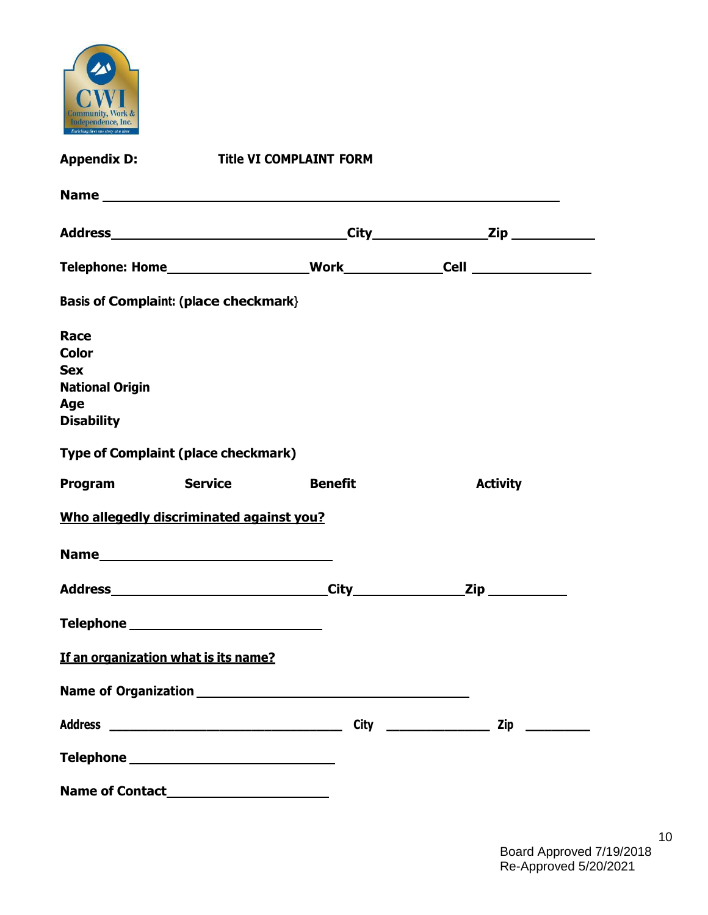

| <b>Appendix D:</b><br><b>Title VI COMPLAINT FORM</b>                                     |  |                |                 |  |  |  |
|------------------------------------------------------------------------------------------|--|----------------|-----------------|--|--|--|
|                                                                                          |  |                |                 |  |  |  |
|                                                                                          |  |                |                 |  |  |  |
|                                                                                          |  |                |                 |  |  |  |
| <b>Basis of Complaint: (place checkmark)</b>                                             |  |                |                 |  |  |  |
| Race<br><b>Color</b><br><b>Sex</b><br><b>National Origin</b><br>Age<br><b>Disability</b> |  |                |                 |  |  |  |
| <b>Type of Complaint (place checkmark)</b>                                               |  |                |                 |  |  |  |
| <b>Program Service</b>                                                                   |  | <b>Benefit</b> | <b>Activity</b> |  |  |  |
| Who allegedly discriminated against you?                                                 |  |                |                 |  |  |  |
| Name                                                                                     |  |                |                 |  |  |  |
|                                                                                          |  |                |                 |  |  |  |
|                                                                                          |  |                |                 |  |  |  |
| If an organization what is its name?                                                     |  |                |                 |  |  |  |
|                                                                                          |  |                |                 |  |  |  |
|                                                                                          |  |                |                 |  |  |  |
|                                                                                          |  |                |                 |  |  |  |
|                                                                                          |  |                |                 |  |  |  |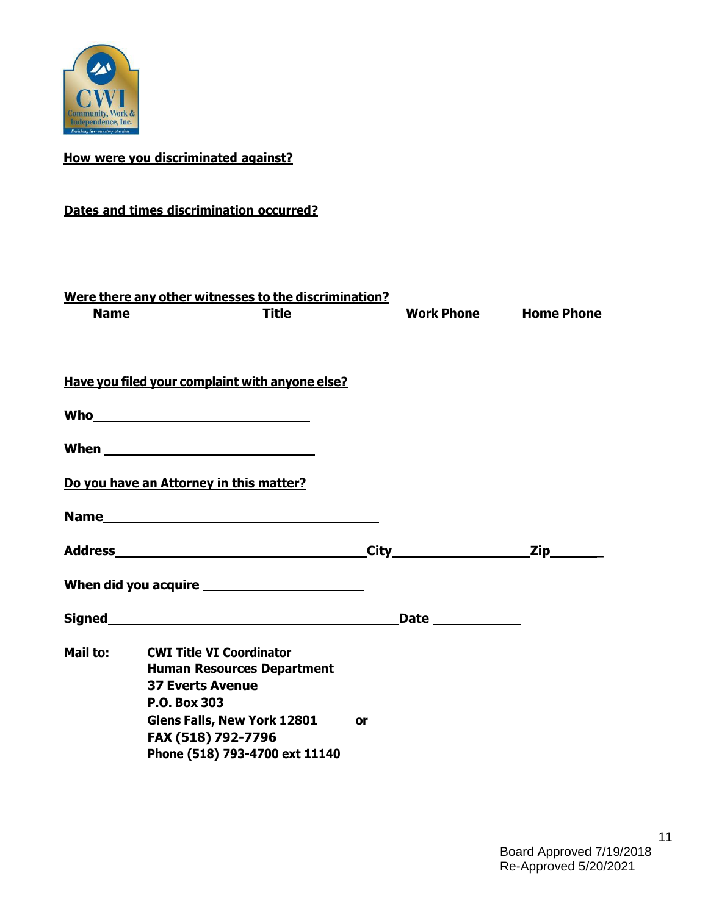

# **How were you discriminated against?**

# **Dates and times discrimination occurred?**

| <b>Name</b> | Were there any other witnesses to the discrimination?<br><b>Title</b>                                                                                                                                                          |    | Work Phone Home Phone |
|-------------|--------------------------------------------------------------------------------------------------------------------------------------------------------------------------------------------------------------------------------|----|-----------------------|
|             | Have you filed your complaint with anyone else?                                                                                                                                                                                |    |                       |
|             |                                                                                                                                                                                                                                |    |                       |
|             |                                                                                                                                                                                                                                |    |                       |
|             | Do you have an Attorney in this matter?                                                                                                                                                                                        |    |                       |
|             | Name and the state of the state of the state of the state of the state of the state of the state of the state of the state of the state of the state of the state of the state of the state of the state of the state of the s |    |                       |
|             | <b>Address City</b>                                                                                                                                                                                                            |    | <b>Zip</b>            |
|             |                                                                                                                                                                                                                                |    |                       |
|             | Signed <b>Signed Signed Signed Signed Signed Signed Signed Signed Signed Signed Signed Signed Signed Signed Signed Signed Signed Signed Signed Signed Signed Signed Signed Signed</b>                                          |    |                       |
| Mail to:    | <b>CWI Title VI Coordinator</b><br><b>Human Resources Department</b><br><b>37 Everts Avenue</b><br><b>P.O. Box 303</b><br>Glens Falls, New York 12801<br>FAX (518) 792-7796                                                    | 0r |                       |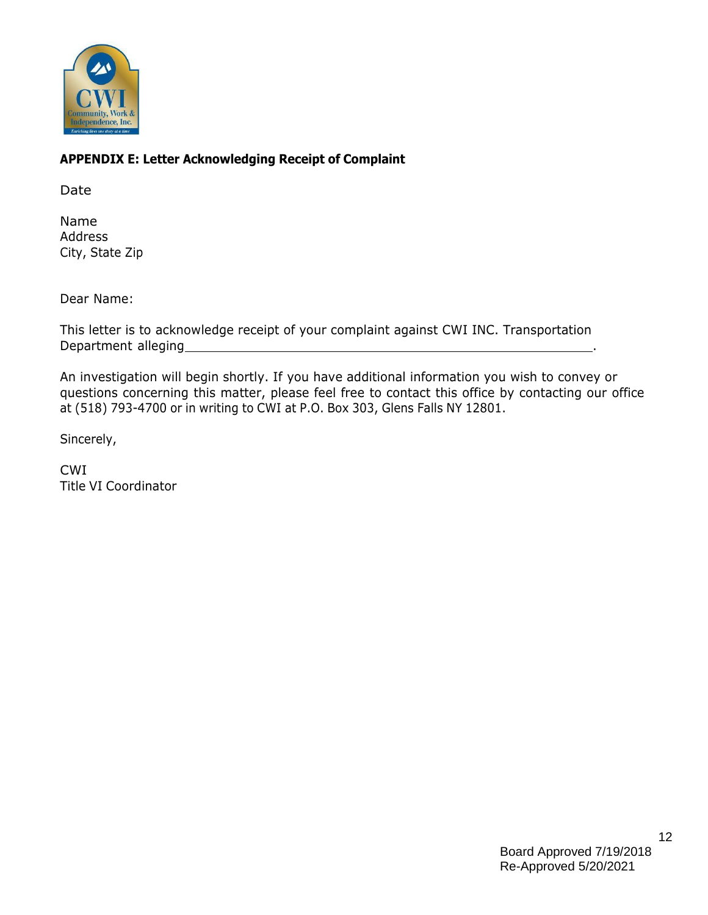

# **APPENDIX E: Letter Acknowledging Receipt of Complaint**

Date

Name Address City, State Zip

Dear Name:

This letter is to acknowledge receipt of your complaint against CWI INC. Transportation Department alleging .

An investigation will begin shortly. If you have additional information you wish to convey or questions concerning this matter, please feel free to contact this office by contacting our office at (518) 793-4700 or in writing to CWI at P.O. Box 303, Glens Falls NY 12801.

Sincerely,

CWI Title VI Coordinator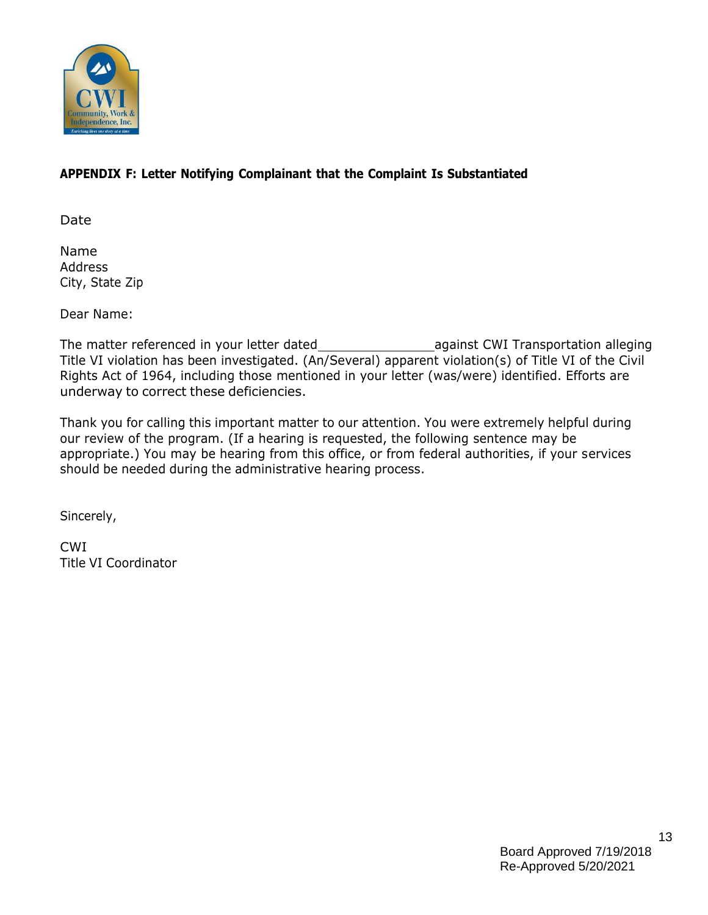

## **APPENDIX F: Letter Notifying Complainant that the Complaint Is Substantiated**

Date

Name Address City, State Zip

Dear Name:

The matter referenced in your letter dated against CWI Transportation alleging Title VI violation has been investigated. (An/Several) apparent violation(s) of Title VI of the Civil Rights Act of 1964, including those mentioned in your letter (was/were) identified. Efforts are underway to correct these deficiencies.

Thank you for calling this important matter to our attention. You were extremely helpful during our review of the program. (If a hearing is requested, the following sentence may be appropriate.) You may be hearing from this office, or from federal authorities, if your services should be needed during the administrative hearing process.

Sincerely,

CWI Title VI Coordinator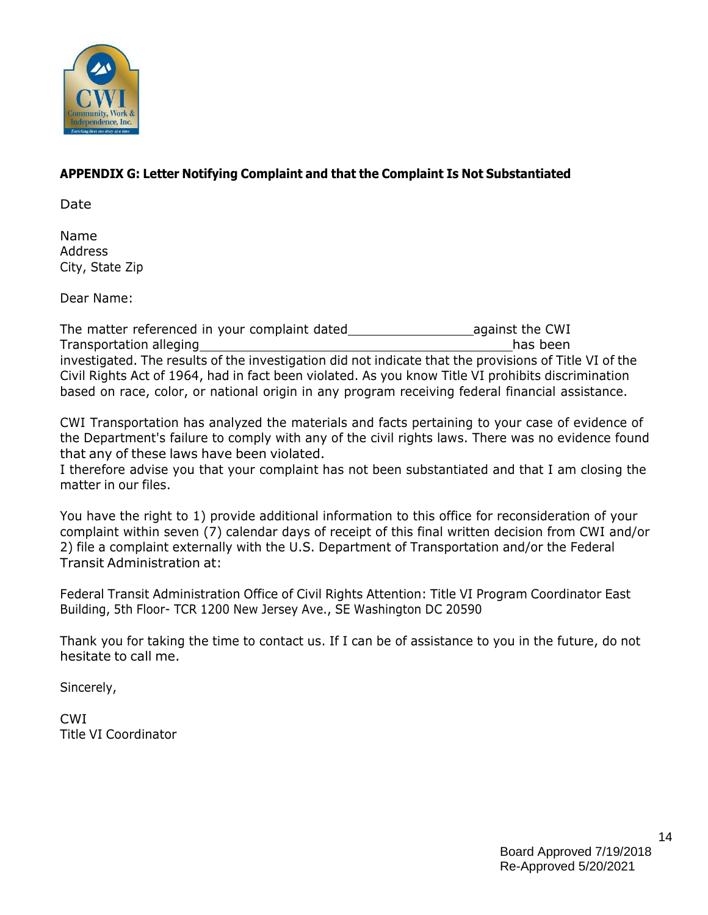

## **APPENDIX G: Letter Notifying Complaint and that the Complaint Is Not Substantiated**

Date

Name Address City, State Zip

Dear Name:

The matter referenced in your complaint dated and against the CWI Transportation alleging has been the control of the control of the control of the control of the control of the control of the control of the control of the control of the control of the control of the control of the contr investigated. The results of the investigation did not indicate that the provisions of Title VI of the Civil Rights Act of 1964, had in fact been violated. As you know Title VI prohibits discrimination based on race, color, or national origin in any program receiving federal financial assistance.

CWI Transportation has analyzed the materials and facts pertaining to your case of evidence of the Department's failure to comply with any of the civil rights laws. There was no evidence found that any of these laws have been violated.

I therefore advise you that your complaint has not been substantiated and that I am closing the matter in our files.

You have the right to 1) provide additional information to this office for reconsideration of your complaint within seven (7) calendar days of receipt of this final written decision from CWI and/or 2) file a complaint externally with the U.S. Department of Transportation and/or the Federal Transit Administration at:

Federal Transit Administration Office of Civil Rights Attention: Title VI Program Coordinator East Building, 5th Floor- TCR 1200 New Jersey Ave., SE Washington DC 20590

Thank you for taking the time to contact us. If I can be of assistance to you in the future, do not hesitate to call me.

Sincerely,

CWI Title VI Coordinator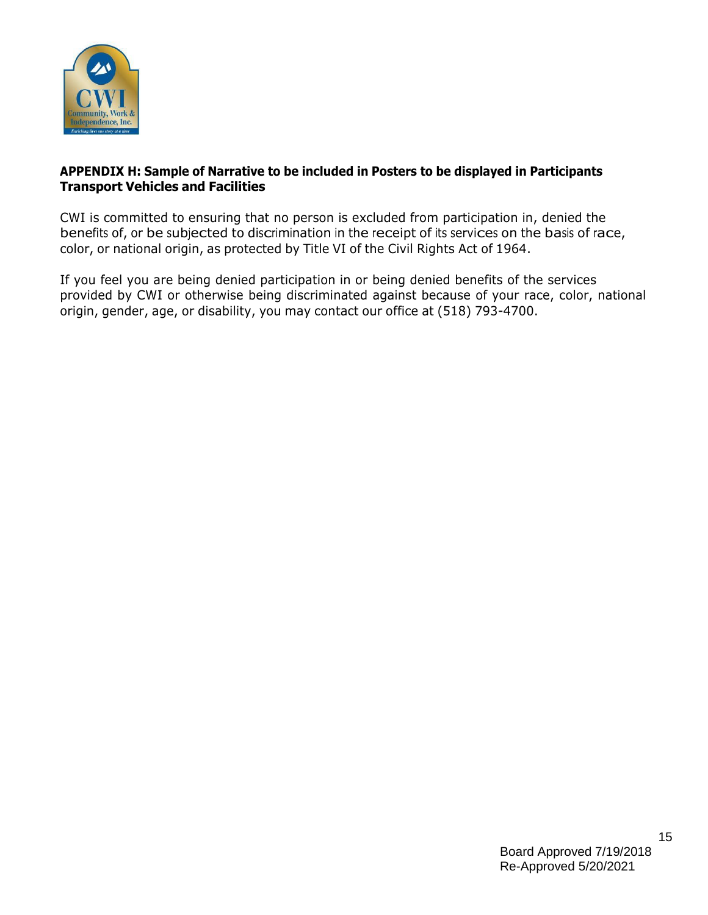

#### **APPENDIX H: Sample of Narrative to be included in Posters to be displayed in Participants Transport Vehicles and Facilities**

CWI is committed to ensuring that no person is excluded from participation in, denied the benefits of, or be subjected to discrimination in the receipt of its services on the basis of race, color, or national origin, as protected by Title VI of the Civil Rights Act of 1964.

If you feel you are being denied participation in or being denied benefits of the services provided by CWI or otherwise being discriminated against because of your race, color, national origin, gender, age, or disability, you may contact our office at (518) 793-4700.